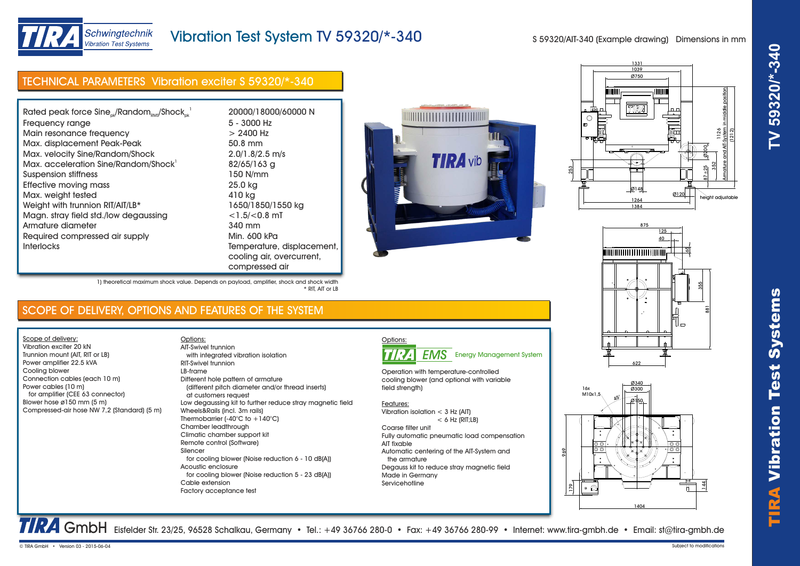

# Schwingtechnik **Vibration Test Systems**

# Vibration Test System TV 59320/\*-340

S 59320/AIT-340 (Example drawing) Dimensions in mm

# TECHNICAL PARAMETERS Vibration exciter S 59320/\*-340

| Rated peak force $Sine_{ok}/Random_{RMS}/Shock_{ok}^{-1}$ | 20000/180        |
|-----------------------------------------------------------|------------------|
| Frequency range                                           | 5 - 3000 Hz      |
| Main resonance frequency                                  | $> 2400$ Hz      |
| Max. displacement Peak-Peak                               | 50.8 mm          |
| Max. velocity Sine/Random/Shock                           | 2.0/1.8/2.5      |
| Max. acceleration Sine/Random/Shock <sup>1</sup>          | 82/65/163        |
| Suspension stiffness                                      | 150 N/mm         |
| Effective moving mass                                     | 25.0 kg          |
| Max. weight tested                                        | 410 kg           |
| Weight with trunnion RIT/AIT/LB*                          | 1650/1850/       |
| Magn. stray field std./low degaussing                     | $<$ 1.5/ $<$ 0.8 |
| Armature diameter                                         | 340 mm           |
| Required compressed air supply                            | Min. 600 kP      |
| <b>Interlocks</b>                                         | Temperatur       |
|                                                           | coolina air      |

000/18000/60000 <mark>N</mark><br>3000 Hz  $M. 8/2.5$  m/s /65/163 g<br>0 N/mm 50/1850/1550 kg  $1.5$ / $<$ 0.8 mT $\,$ l $\,$ 0 mm $\,$ n. 600 kPa nperature, displacement. oling air, overcurrent, compressed air









TRA GmbH Eisfelder Str. 23/25, 96528 Schalkau, Germany • Tel.: +49 36766 280-0 • Fax: +49 36766 280-99 • Internet: www.tira-gmbh.de • Email: st@tira-gmbh.de

Servicehotline

### 1) theoretical maximum shock value. Depends on payload, amplifier, shock and shock width \* RIT, AIT or LB

Options:

## SCOPE OF DELIVERY, OPTIONS AND FEATURES OF THE SYSTEM

Scope of delivery: Vibration exciter 20 kN Trunnion mount (AIT, RIT or LB) Power amplifier 22.5 kVA Cooling blower Connection cables (each 10 m) Power cables (10 m) for amplifier (CEE 63 connector) Blower hose ø150 mm (5 m) Compressed-air hose NW 7,2 (Standard) (5 m)

 with integrated vibration isolation RIT-Swivel trunnion LB-frame Different hole pattern of armature (different pitch diameter and/or thread inserts) at customers request Low degaussing kit to further reduce stray magnetic field Wheels&Rails (incl. 3m rails) Thermobarrier (-40°C to +140°C) Chamber leadthrough Climatic chamber support kit Remote control (Software) Silencer for cooling blower (Noise reduction 6 - 10 dB(A)) Acoustic enclosure for cooling blower (Noise reduction 5 - 23 dB(A)) Cable extension Factory acceptance test AIT-Swivel trunnion



Operation with temperature-controlled cooling blower (and optional with variable field strength)

#### Features:

Vibration isolation < 3 Hz (AIT)  $< 6$  Hz (RIT;  $\vert$  B) Coarse filter unit Fully automatic pneumatic load compensation AIT fixable Automatic centering of the AIT-System and the armature Degauss kit to reduce stray magnetic field Made in Germany